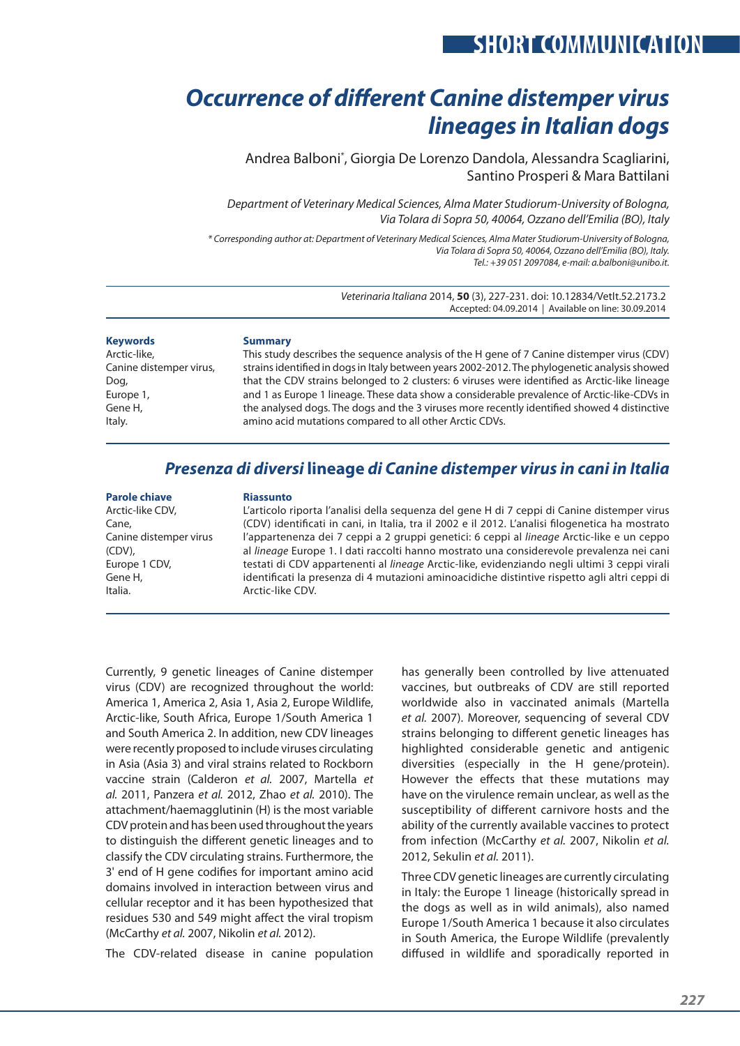# **SHORT COMMUNICATION**

# *Occurrence of different Canine distemper virus lineages in Italian dogs*

Andrea Balboni\* , Giorgia De Lorenzo Dandola, Alessandra Scagliarini, Santino Prosperi & Mara Battilani

*Department of Veterinary Medical Sciences, Alma Mater Studiorum-University of Bologna, Via Tolara di Sopra 50, 40064, Ozzano dell'Emilia (BO), Italy*

*\* Corresponding author at: Department of Veterinary Medical Sciences, Alma Mater Studiorum-University of Bologna, Via Tolara di Sopra 50, 40064, Ozzano dell'Emilia (BO), Italy. Tel.: +39 051 2097084, e-mail: a.balboni@unibo.it.*

> *Veterinaria Italiana* 2014, **50** (3), 227-231. doi: 10.12834/VetIt.52.2173.2 Accepted: 04.09.2014 | Available on line: 30.09.2014

**Keywords** Arctic-like, Canine distemper virus, Dog, Europe 1, Gene H, Italy.

### **Summary**

This study describes the sequence analysis of the H gene of 7 Canine distemper virus (CDV) strains identified in dogs in Italy between years 2002-2012. The phylogenetic analysis showed that the CDV strains belonged to 2 clusters: 6 viruses were identified as Arctic-like lineage and 1 as Europe 1 lineage. These data show a considerable prevalence of Arctic-like-CDVs in the analysed dogs. The dogs and the 3 viruses more recently identified showed 4 distinctive amino acid mutations compared to all other Arctic CDVs.

# *Presenza di diversi* **lineage** *di Canine distemper virus in cani in Italia*

## **Parole chiave**

Arctic-like CDV, Cane, Canine distemper virus (CDV), Europe 1 CDV, Gene H, Italia.

### **Riassunto**

L'articolo riporta l'analisi della sequenza del gene H di 7 ceppi di Canine distemper virus (CDV) identificati in cani, in Italia, tra il 2002 e il 2012. L'analisi filogenetica ha mostrato l'appartenenza dei 7 ceppi a 2 gruppi genetici: 6 ceppi al *lineage* Arctic-like e un ceppo al *lineage* Europe 1. I dati raccolti hanno mostrato una considerevole prevalenza nei cani testati di CDV appartenenti al *lineage* Arctic-like, evidenziando negli ultimi 3 ceppi virali identificati la presenza di 4 mutazioni aminoacidiche distintive rispetto agli altri ceppi di Arctic-like CDV.

Currently, 9 genetic lineages of Canine distemper virus (CDV) are recognized throughout the world: America 1, America 2, Asia 1, Asia 2, Europe Wildlife, Arctic-like, South Africa, Europe 1/South America 1 and South America 2. In addition, new CDV lineages were recently proposed to include viruses circulating in Asia (Asia 3) and viral strains related to Rockborn vaccine strain (Calderon *et al.* 2007, Martella *et al.* 2011, Panzera *et al.* 2012, Zhao *et al.* 2010). The attachment/haemagglutinin (H) is the most variable CDV protein and has been used throughout the years to distinguish the different genetic lineages and to classify the CDV circulating strains. Furthermore, the 3' end of H gene codifies for important amino acid domains involved in interaction between virus and cellular receptor and it has been hypothesized that residues 530 and 549 might affect the viral tropism (McCarthy *et al.* 2007, Nikolin *et al.* 2012).

The CDV-related disease in canine population

has generally been controlled by live attenuated vaccines, but outbreaks of CDV are still reported worldwide also in vaccinated animals (Martella *et al.* 2007). Moreover, sequencing of several CDV strains belonging to different genetic lineages has highlighted considerable genetic and antigenic diversities (especially in the H gene/protein). However the effects that these mutations may have on the virulence remain unclear, as well as the susceptibility of different carnivore hosts and the ability of the currently available vaccines to protect from infection (McCarthy *et al.* 2007, Nikolin *et al.* 2012, Sekulin *et al.* 2011).

Three CDV genetic lineages are currently circulating in Italy: the Europe 1 lineage (historically spread in the dogs as well as in wild animals), also named Europe 1/South America 1 because it also circulates in South America, the Europe Wildlife (prevalently diffused in wildlife and sporadically reported in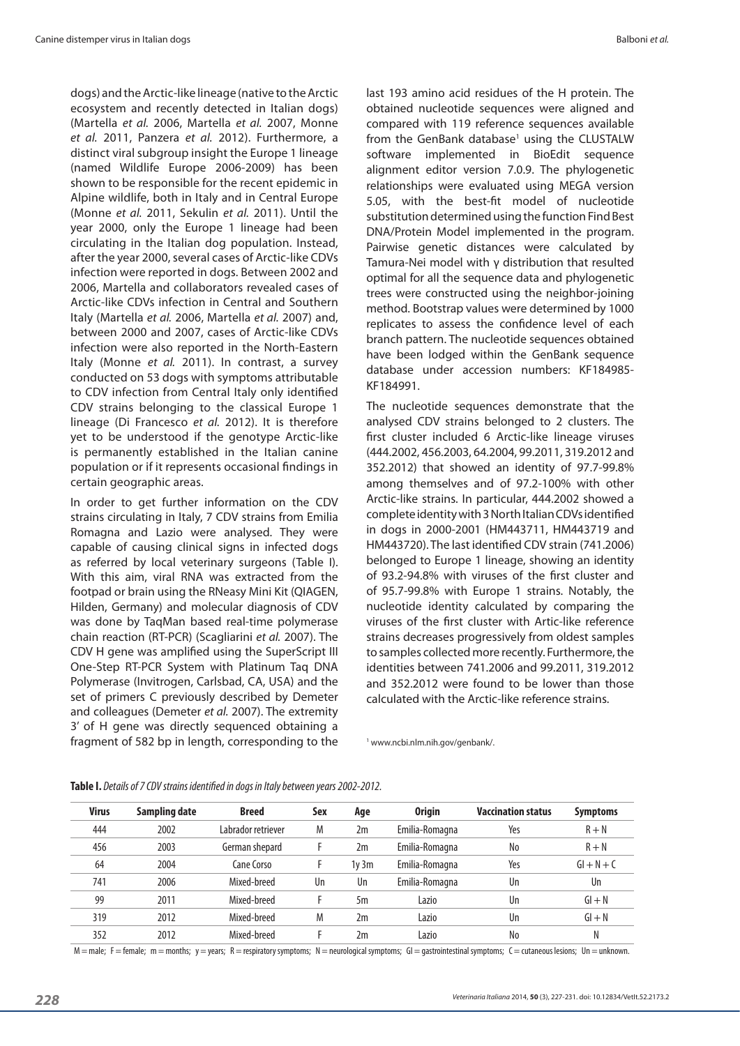dogs) and the Arctic-like lineage (native to the Arctic ecosystem and recently detected in Italian dogs) (Martella *et al.* 2006, Martella *et al.* 2007, Monne *et al.* 2011, Panzera *et al.* 2012). Furthermore, a distinct viral subgroup insight the Europe 1 lineage (named Wildlife Europe 2006-2009) has been shown to be responsible for the recent epidemic in Alpine wildlife, both in Italy and in Central Europe (Monne *et al.* 2011, Sekulin *et al.* 2011). Until the year 2000, only the Europe 1 lineage had been circulating in the Italian dog population. Instead, after the year 2000, several cases of Arctic-like CDVs infection were reported in dogs. Between 2002 and 2006, Martella and collaborators revealed cases of Arctic-like CDVs infection in Central and Southern Italy (Martella *et al.* 2006, Martella *et al.* 2007) and, between 2000 and 2007, cases of Arctic-like CDVs infection were also reported in the North-Eastern Italy (Monne *et al.* 2011). In contrast, a survey conducted on 53 dogs with symptoms attributable to CDV infection from Central Italy only identified CDV strains belonging to the classical Europe 1 lineage (Di Francesco *et al.* 2012). It is therefore yet to be understood if the genotype Arctic-like is permanently established in the Italian canine population or if it represents occasional findings in certain geographic areas.

In order to get further information on the CDV strains circulating in Italy, 7 CDV strains from Emilia Romagna and Lazio were analysed. They were capable of causing clinical signs in infected dogs as referred by local veterinary surgeons (Table I). With this aim, viral RNA was extracted from the footpad or brain using the RNeasy Mini Kit (QIAGEN, Hilden, Germany) and molecular diagnosis of CDV was done by TaqMan based real-time polymerase chain reaction (RT-PCR) (Scagliarini *et al.* 2007). The CDV H gene was amplified using the SuperScript III One-Step RT-PCR System with Platinum Taq DNA Polymerase (Invitrogen, Carlsbad, CA, USA) and the set of primers C previously described by Demeter and colleagues (Demeter *et al.* 2007). The extremity 3' of H gene was directly sequenced obtaining a fragment of 582 bp in length, corresponding to the last 193 amino acid residues of the H protein. The obtained nucleotide sequences were aligned and compared with 119 reference sequences available from the GenBank database<sup>1</sup> using the CLUSTALW software implemented in BioEdit sequence alignment editor version 7.0.9. The phylogenetic relationships were evaluated using MEGA version 5.05, with the best-fit model of nucleotide substitution determined using the function Find Best DNA/Protein Model implemented in the program. Pairwise genetic distances were calculated by Tamura-Nei model with γ distribution that resulted optimal for all the sequence data and phylogenetic trees were constructed using the neighbor-joining method. Bootstrap values were determined by 1000 replicates to assess the confidence level of each branch pattern. The nucleotide sequences obtained have been lodged within the GenBank sequence database under accession numbers: KF184985- KF184991.

The nucleotide sequences demonstrate that the analysed CDV strains belonged to 2 clusters. The first cluster included 6 Arctic-like lineage viruses (444.2002, 456.2003, 64.2004, 99.2011, 319.2012 and 352.2012) that showed an identity of 97.7-99.8% among themselves and of 97.2-100% with other Arctic-like strains. In particular, 444.2002 showed a complete identity with 3 North Italian CDVs identified in dogs in 2000-2001 (HM443711, HM443719 and HM443720). The last identified CDV strain (741.2006) belonged to Europe 1 lineage, showing an identity of 93.2-94.8% with viruses of the first cluster and of 95.7-99.8% with Europe 1 strains. Notably, the nucleotide identity calculated by comparing the viruses of the first cluster with Artic-like reference strains decreases progressively from oldest samples to samples collected more recently. Furthermore, the identities between 741.2006 and 99.2011, 319.2012 and 352.2012 were found to be lower than those calculated with the Arctic-like reference strains.

<sup>1</sup> www.ncbi.nlm.nih.gov/genbank/.

| <b>Virus</b> | Sampling date | <b>Breed</b>       | Sex | Age  | <b>Origin</b>        | <b>Vaccination status</b> | <b>Symptoms</b> |
|--------------|---------------|--------------------|-----|------|----------------------|---------------------------|-----------------|
| 444          | 2002          | Labrador retriever | M   | 2m   | Emilia-Romagna       | Yes                       | $R + N$         |
| 456          | 2003          | German shepard     |     | 2m   | No<br>Emilia-Romagna |                           | $R + N$         |
| 64           | 2004          | Cane Corso         |     | 1v3m | Emilia-Romagna       | Yes                       | $GI + N + C$    |
| 741          | 2006          | Mixed-breed        | Un  | Un   | Emilia-Romagna       | Un                        | Un              |
| 99           | 2011          | Mixed-breed        |     | 5m   | Lazio<br>Un          |                           | $GI + N$        |
| 319          | 2012          | Mixed-breed        | M   | 2m   | Lazio<br>Un          |                           | $GI + N$        |
| 352          | 2012          | Mixed-breed        |     | 2m   | Lazio                | N <sub>0</sub>            | N               |

#### **Table I.** *Details of 7 CDV strains identified in dogs in Italy between years 2002-2012.*

M = male; F = female; m = months; y = years; R = respiratory symptoms; N = neurological symptoms; GI = gastrointestinal symptoms; C = cutaneous lesions; Un = unknown.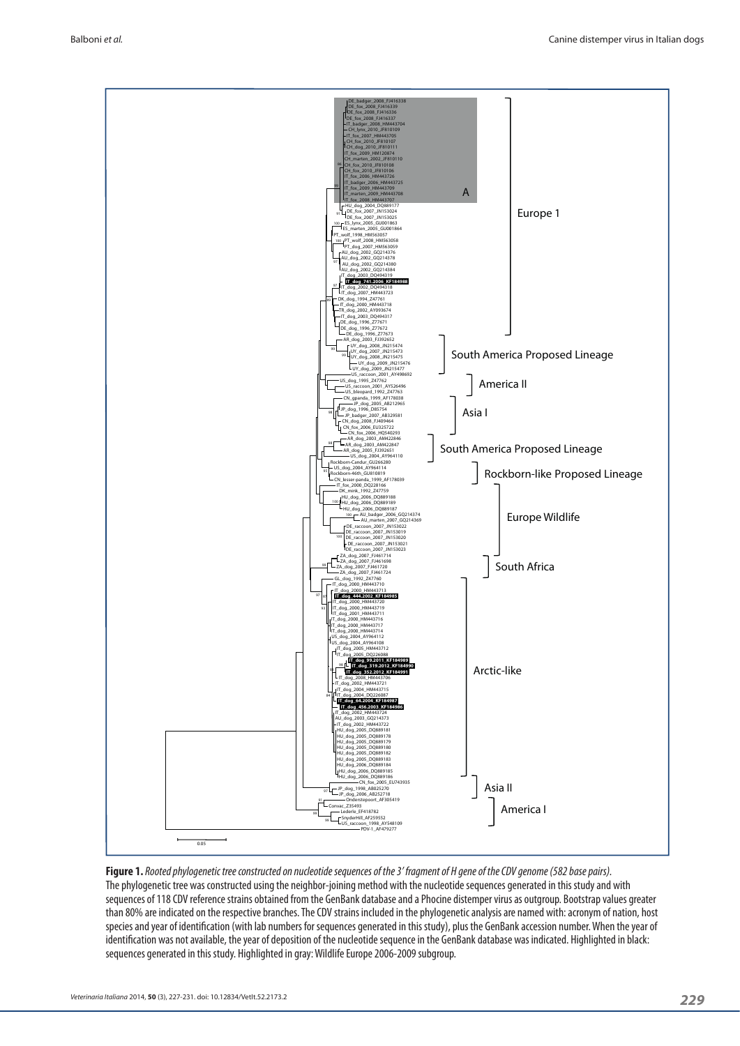

**Figure 1.** *Rooted phylogenetic tree constructed on nucleotide sequences of the 3' fragment of H gene of the CDV genome (582 base pairs).* The phylogenetic tree was constructed using the neighbor-joining method with the nucleotide sequences generated in this study and with sequences of 118 CDV reference strains obtained from the GenBank database and a Phocine distemper virus as outgroup. Bootstrap values greater than 80% are indicated on the respective branches. The CDV strains included in the phylogenetic analysis are named with: acronym of nation, host species and year of identification (with lab numbers for sequences generated in this study), plus the GenBank accession number. When the year of identification was not available, the year of deposition of the nucleotide sequence in the GenBank database was indicated. Highlighted in black: sequences generated in this study. Highlighted in gray: Wildlife Europe 2006-2009 subgroup.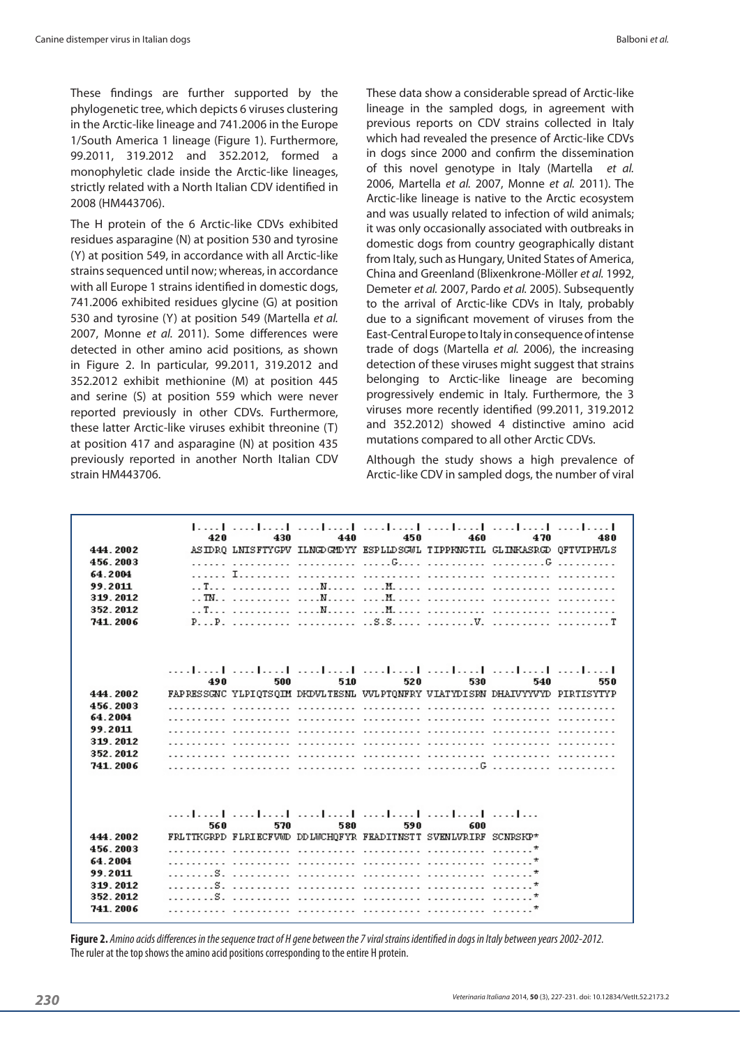These findings are further supported by the phylogenetic tree, which depicts 6 viruses clustering in the Arctic-like lineage and 741.2006 in the Europe 1/South America 1 lineage (Figure 1). Furthermore, 99.2011, 319.2012 and 352.2012, formed a monophyletic clade inside the Arctic-like lineages, strictly related with a North Italian CDV identified in 2008 (HM443706).

The H protein of the 6 Arctic-like CDVs exhibited residues asparagine (N) at position 530 and tyrosine (Y) at position 549, in accordance with all Arctic-like strains sequenced until now; whereas, in accordance with all Europe 1 strains identified in domestic dogs, 741.2006 exhibited residues glycine (G) at position 530 and tyrosine (Y) at position 549 (Martella *et al.*  2007, Monne *et al.* 2011). Some differences were detected in other amino acid positions, as shown in Figure 2. In particular, 99.2011, 319.2012 and 352.2012 exhibit methionine (M) at position 445 and serine (S) at position 559 which were never reported previously in other CDVs. Furthermore, these latter Arctic-like viruses exhibit threonine (T) at position 417 and asparagine (N) at position 435 previously reported in another North Italian CDV strain HM443706.

These data show a considerable spread of Arctic-like lineage in the sampled dogs, in agreement with previous reports on CDV strains collected in Italy which had revealed the presence of Arctic-like CDVs in dogs since 2000 and confirm the dissemination of this novel genotype in Italy (Martella *et al.* 2006, Martella *et al.* 2007, Monne *et al.* 2011). The Arctic-like lineage is native to the Arctic ecosystem and was usually related to infection of wild animals; it was only occasionally associated with outbreaks in domestic dogs from country geographically distant from Italy, such as Hungary, United States of America, China and Greenland (Blixenkrone-Möller *et al.* 1992, Demeter *et al.* 2007, Pardo *et al.* 2005). Subsequently to the arrival of Arctic-like CDVs in Italy, probably due to a significant movement of viruses from the East-Central Europe to Italy in consequence of intense trade of dogs (Martella *et al.* 2006), the increasing detection of these viruses might suggest that strains belonging to Arctic-like lineage are becoming progressively endemic in Italy. Furthermore, the 3 viruses more recently identified (99.2011, 319.2012 and 352.2012) showed 4 distinctive amino acid mutations compared to all other Arctic CDVs.

Although the study shows a high prevalence of Arctic-like CDV in sampled dogs, the number of viral

| 444.2002<br>456.2003<br>64.2004<br>99.2011<br>319.2012<br>352.2012<br>741, 2006 | 420 | 430<br>. <b>I</b><br>. . TN                                                                                                  | 440 | 450 | 460 | 470<br>ASIDRO LNISFTYGPV ILNGDGMDYY ESPLLDSGWL TIPPKNGTIL GLINKASRGD OFTVIPHVLS<br>$P_1 \cdot P_2 \cdot \ldots \cdot P_n$                    | 480 |
|---------------------------------------------------------------------------------|-----|------------------------------------------------------------------------------------------------------------------------------|-----|-----|-----|----------------------------------------------------------------------------------------------------------------------------------------------|-----|
| 444.2002<br>456.2003<br>64.2004<br>99.2011<br>319.2012                          | 490 | 500<br><u> PORTUGUES DE L'ANGELIA DE L'ANGELIA DE L'ANGELIA DE L'ANGELIA DE L'ANGELIA DE L'ANGELIA DE L'ANGELIA DE L'ANG</u> | 510 | 520 | 530 | المتماحية المتطمعة المتطمعا المتطمع المتطمع المتحامية<br>540<br>FAPRESSGNC YLPIOTSOIM DKDVLTESML VVLPTONFRY VIATYDISRN DHAIVYYVYD PIRTISYTYP | 550 |
| 352.2012<br>741, 2006                                                           |     | <u>TA LA TELEVIZIONE ET ETA TELEVIZIONE ETA LA POLICIA ETA LA POLICIA ETA LA POLICIA ETA LA POLICIA ETA LA POLIC</u>         |     |     |     |                                                                                                                                              |     |
|                                                                                 | 560 | ومطاويهم المتمازلين المتمازلين المتمازين المتمازلين المتمازلين<br>570                                                        | 580 | 590 | 600 |                                                                                                                                              |     |
| 444.2002                                                                        |     | FRLTTKGRPD FLRIECFVMD DDLMCHOFYR FRADITNSTT SVENLVRIRF SCNRSKP*                                                              |     |     |     |                                                                                                                                              |     |
| 456.2003                                                                        |     |                                                                                                                              |     |     |     |                                                                                                                                              |     |
| 64.2004                                                                         |     |                                                                                                                              |     |     |     |                                                                                                                                              |     |
| 99.2011                                                                         | - 8 |                                                                                                                              |     |     |     |                                                                                                                                              |     |
| 319.2012<br>352.2012                                                            |     |                                                                                                                              |     |     |     |                                                                                                                                              |     |
| 741, 2006                                                                       |     |                                                                                                                              |     |     |     |                                                                                                                                              |     |

**Figure 2.** *Amino acids differences in the sequence tract of H gene between the 7 viral strains identified in dogs in Italy between years 2002-2012.* The ruler at the top shows the amino acid positions corresponding to the entire H protein.